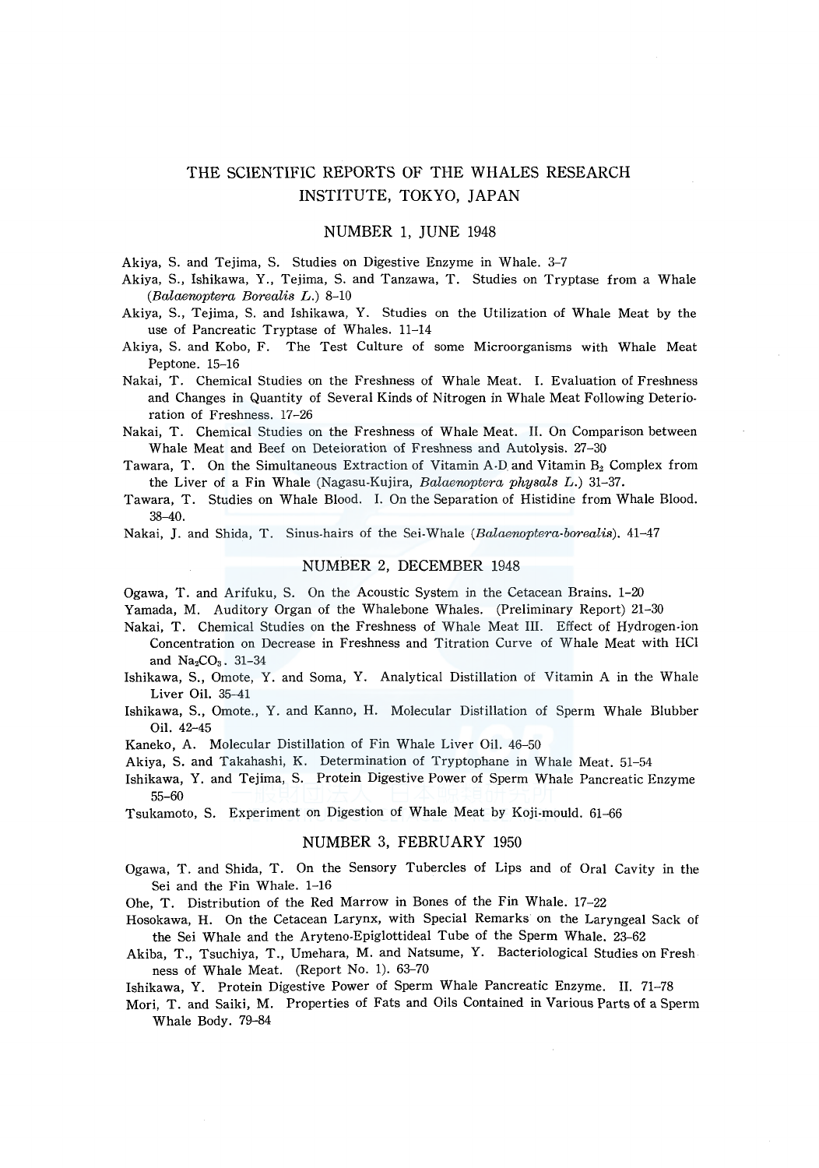# THE SCIENTIFIC REPORTS OF THE WHALES RESEARCH INSTITUTE, TOKYO, JAPAN

### NUMBER l, JUNE 1948

Akiya, S. and Tejima, S. Studies on Digestive Enzyme in Whale. 3-7

- Akiya, S., Ishikawa, Y., Tejima, S. and Tanzawa, T. Studies on Tryptase from a Whale *(Balaenoptera Borealis* L.) 8-10
- Akiya, S., Tejima, S. and Ishikawa, Y. Studies on the Utilization of Whale Meat by the use of Pancreatic Tryptase of Whales. 11-14
- Akiya, S. and Kobo, F. The Test Culture of some Microorganisms with Whale Meat Peptone. 15-16
- Nakai, T. Chemical Studies on the Freshness of Whale Meat. I. Evaluation of Freshness and Changes in Quantity of Several Kinds of Nitrogen in Whale Meat Following Deterioration of Freshness. 17-26
- Nakai, T. Chemical Studies on the Freshness of Whale Meat. II. On Comparison between Whale Meat and Beef on Deteioration of Freshness and Autolysis. 27-30
- Tawara, T. On the Simultaneous Extraction of Vitamin A-D. and Vitamin *B2* Complex from the Liver of a Fin Whale (Nagasu-Kujira, *Balaenoptera physals* L.) 31-37.
- Tawara, T. Studies on Whale Blood. I. On the Separation of Histidine from Whale Blood. 38-40.

Nakai, J. and Shida, T. Sinus-hairs of the Sei-Whale *(Balaenoptera-borealis).* 41-47

# NUMBER 2, DECEMBER 1948

Ogawa, T. and Arifuku, S. On the Acoustic System in the Cetacean Brains. 1-20

- Yamada, M. Auditory Organ of the Whalebone Whales. (Preliminary Report) 21-30
- Nakai, T. Chemical Studies on the Freshness of Whale Meat III. Effect of Hydrogen-ion Concentration on Decrease in Freshness and Titration Curve of Whale Meat with HCl and  $Na<sub>2</sub>CO<sub>3</sub>$ , 31-34
- Ishikawa, S., Omote, Y. and Soma, Y. Analytical Distillation of Vitamin A in the Whale Liver Oil. 35-41
- Ishikawa, S., Omote., Y. and Kanno, H. Molecular Distillation of Sperm Whale Blubber Oil. 42-45
- Kaneko, A. Molecular Distillation of Fin Whale Liver Oil. 46-50
- Akiya, S. and Takahashi, K. Determination of Tryptophane in Whale Meat. 51-54
- Ishikawa, Y. and Tejima, S. Protein Digestive Power of Sperm Whale Pancreatic Enzyme 55-60

Tsukamoto, S. Experiment on Digestion of Whale Meat by Koji-mould. 61-66

# NUMBER 3, FEBRUARY 1950

Ogawa, T. and Shida, T. On the Sensory Tubercles of Lips and of Oral Cavity in the Sei and the Fin Whale. 1-16

Ohe, T. Distribution of the Red Marrow in Bones of the Fin Whale. 17-22

- Hosokawa, H. On the Cetacean Larynx, with Special Remarks on the Laryngeal Sack of the Sei Whale and the Aryteno-Epiglottideal Tube of the Sperm Whale. 23-62
- Akiba, T., Tsuchiya, T., Umehara, M. and Natsume, Y. Bacteriological Studies on Fresh ness of Whale Meat. (Report No. 1). 63-70

Ishikawa, Y. Protein Digestive Power of Sperm Whale Pancreatic Enzyme. II. 71-78

Mori, T. and Saiki, M. Properties of Fats and Oils Contained in Various Parts of a Sperm Whale Body. 79-84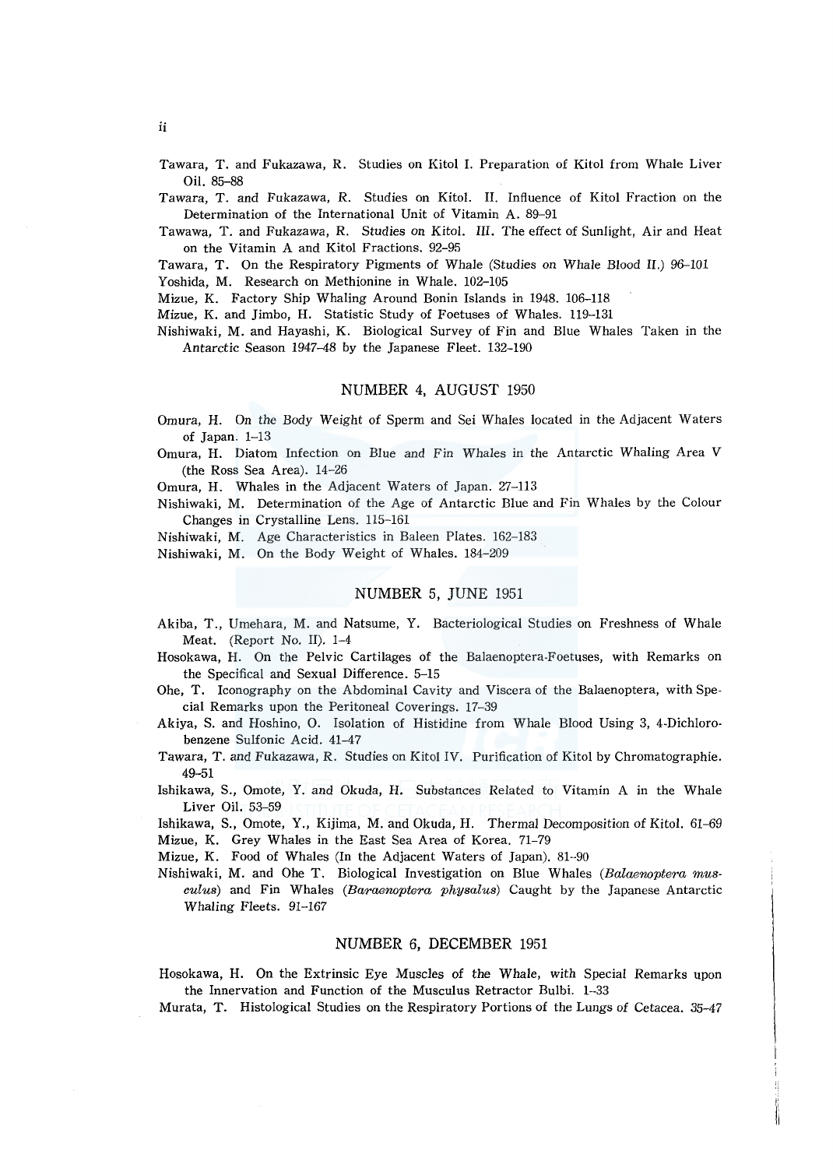Tawara, T. and Fukazawa, R. Studies on Kitol I. Preparation of Kitol from Whale Liver Oil. 85-88

Tawara, T. and Fukazawa, R. Studies on Kitol. II. Influence of Kitol Fraction on the Determination of the International Unit of Vitamin A. 89-91

Tawawa, T. and Fukazawa, R. Studies on Kitol. III. The effect of Sunlight, Air and Heat on the Vitamin A and Kitol Fractions. 92-95

Tawara, T. On the Respiratory Pigments of Whale (Studies on Whale Blood *II.)* 96-101 Yoshida, M. Research on Methionine in Whale. 102-105

Mizue, K. Factory Ship Whaling Around Bonin Islands in 1948. 106-118

Mizue, K. and Jimbo, H. Statistic Study of Foetuses of Whales. 119-131

Nishiwaki, M. and Hayashi, K. Biological Survey of Fin and Blue Whales Taken in the Antarctic Season 1947-48 by the Japanese Fleet. 132-190

# NUMBER 4, AUGUST 1950

- Omura, H. On the Body Weight of Sperm and Sei Whales located in the Adjacent Waters of Japan. 1-13
- Omura, H. Diatom Infection on Blue and Fin Whales in the Antarctic Whaling Area V (the Ross Sea Area). 14-26

Omura, H. Whales in the Adjacent Waters of Japan. 27-113

Nishiwaki, M. Determination of the Age of Antarctic Blue and Fin Whales by the Colour Changes in Crystalline Lens. 115-161

Nishiwaki, M. Age Characteristics in Baleen Plates. 162-183

Nishiwaki, M. On the Body Weight of Whales. 184-209

# NUMBER 5, JUNE 1951

- Akiba, T., Umehara, M. and Natsume, Y. Bacteriological Studies on Freshness of Whale Meat. (Report No. II). 1-4-
- Hosokawa, H. On the Pelvic Cartilages of the Balaenoptera-Foetuses, with Remarks on the Specifical and Sexual Difference. 5-15
- Ohe, T. Iconography on the Abdominal Cavity and Viscera of the Balaenoptera, with Special Remarks upon the Peritoneal Coverings. 17-39
- Akiya, S. and Hoshino, 0. Isolation of Histidine from Whale Blood Using 3, 4-Dichlorobenzene Sulfonic Acid. 41-47
- Tawara, T. and Fukazawa, R. Studies on Kitol IV. Purification of Kitol by Chromatographie. 49-51
- Ishikawa, S., Omote, Y. and Okuda, H. Substances Related to Vitamin A in the Whale Liver Oil. 53-59

Ishikawa, S., Omote, Y., Kijima, M. and Okuda, H. Thermal Decomposition of Kitol. 61-69 Mizue, K. Grey Whales in the East Sea Area of Korea. 71-79

Mizue, K. Food of Whales (In the Adjacent Waters of Japan). 81-90

Nishiwaki, M. and Ohe T. Biological Investigation on Blue Whales *(Balaenoptera musculus)* and Fin Whales *(Baraenoptera physalus)* Caught by the Japanese Antarctic Whaling Fleets. 91-167

# NUMBER 6, DECEMBER 1951

Hosokawa, H. On the Extrinsic Eye Muscles of the Whale, with Special Remarks upon the Innervation and Function of the Musculus Retractor Bulbi. 1-33

Murata, T. Histological Studies on the Respiratory Portions of the Lungs of Cetacea. 35-47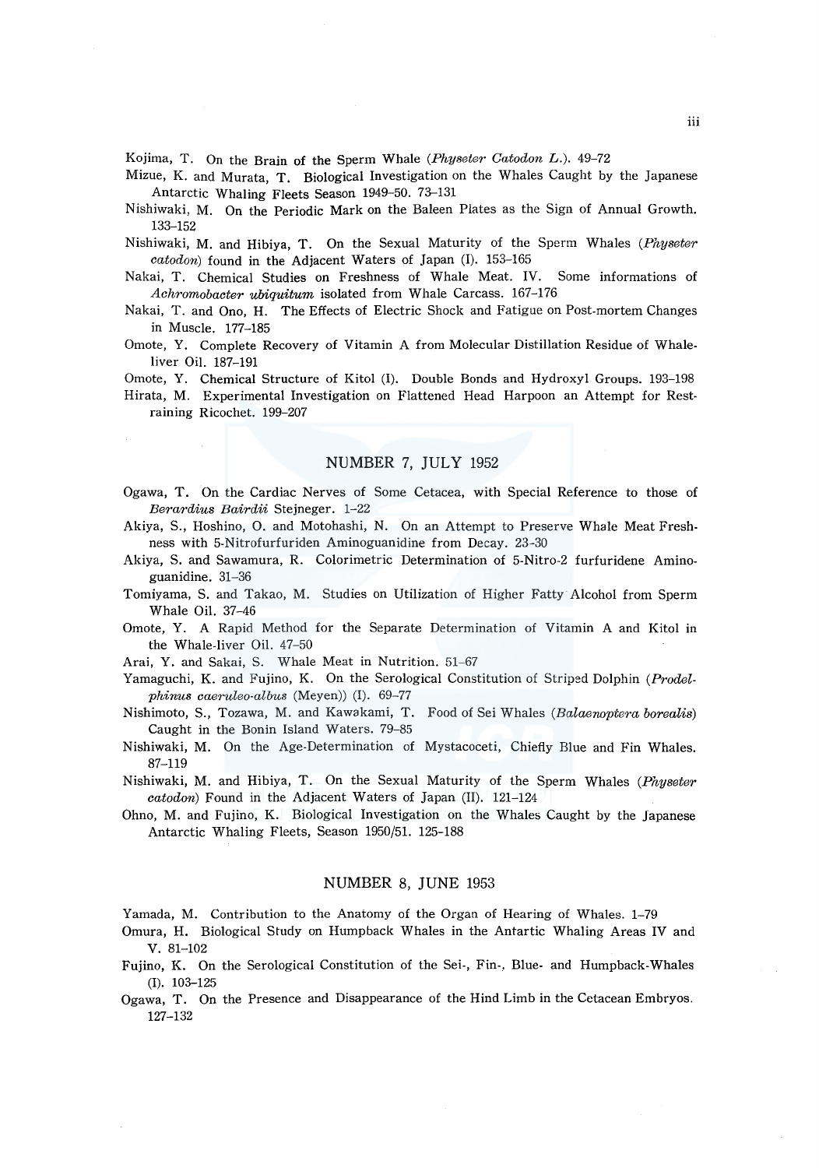Kojima, T. On the Brain of the Sperm Whale *(Physeter Catodon* L.). 49-72

- Mizue, K. and Murata, T. Biological Investigation on the Whales Caught by the Japanese Antarctic Whaling Fleets Season 1949-50. 73-131
- Nishiwaki, M. On the Periodic Mark on the Baleen Plates as the Sign of Annual Growth. 133-152
- Nishiwaki, M. and Hibiya, T. On the Sexual Maturity of the Sperm Whales *(Physeter catodon)* found in the Adjacent Waters of Japan (I). 153-165
- Nakai, T. Chemical Studies on Freshness of Whale Meat. IV. Some informations of *Achromobacter ubiquitum* isolated from Whale Carcass. 167-176
- Nakai, T. and Ono, H. The Effects of Electric Shock and Fatigue on Post-mortem Changes in Muscle. 177-185
- Omote, Y. Complete Recovery of Vitamin A from Molecular Distillation Residue of Whaleliver Oil. 187-191
- Omote, Y. Chemical Structure of Kitol (I). Double Bonds and Hydroxyl Groups. 193-198
- Hirata, M. Experimental Investigation on Flattened Head Harpoon an Attempt for Restraining Ricochet. 199-207

# NUMBER 7, JULY 1952

- Ogawa, T. On the Cardiac Nerves of Some Cetacea, with Special Reference to those of *Berardius Bairdii* Stejneger. 1-22
- Akiya, S., Hoshino, 0. and Motohashi, N. On an Attempt to Preserve Whale Meat Freshness with 5-Nitrofurfuriden Aminoguanidine from Decay. 23-30
- Akiya, S. and Sawamura, R. Colorimetric Determination of 5-Nitro-2 furfuridene Aminoguanidine. 31-36
- Tomiyama, S. and Takao, M. Studies on Utilization of Higher Fatty Alcohol from Sperm Whale Oil. 37-46
- Omote, Y. A Rapid Method for the Separate Determination of Vitamin A and Kitol in the Whale-liver Oil. 47-50
- Arai, Y. and Sakai, S. Whale Meat in Nutrition. 51-67
- Yamaguchi, K. and Fujino, K. On the Serological Constitution of Striped Dolphin *(Prodelphinus caeruleo-albus* (Meyen)) (I). 69-77
- Nishimoto, S., Tozawa, M. and Kawakami, T. Food of Sei Whales *(Balaenoptera borealis)*  Caught in the Bonin Island Waters. 79-85
- Nishiwaki, M. On the Age-Determination of Mystacoceti, Chiefly Blue and Fin Whales. 87-119
- Nishiwaki, M. and Hibiya, T. On the Sexual Maturity of the Sperm Whales *(Physeter catodon)* Found in the Adjacent Waters of Japan (II). 121-124
- Ohno, M. and Fujino, K. Biological Investigation on the Whales Caught by the Japanese Antarctic Whaling Fleets, Season 1950/51. 125-188

### NUMBER 8, JUNE 1953

Yamada, M. Contribution to the Anatomy of the Organ of Hearing of Whales. 1-79

- Omura, H. Biological Study on Humpback Whales in the Antartic Whaling Areas IV and v. 81-102
- Fujino, K. On the Serological Constitution of the Sei-, Fin-, Blue- and Humpback-Whales (I). 103-125
- Ogawa, T. On the Presence and Disappearance of the Hind Limb in the Cetacean Embryos. 127-132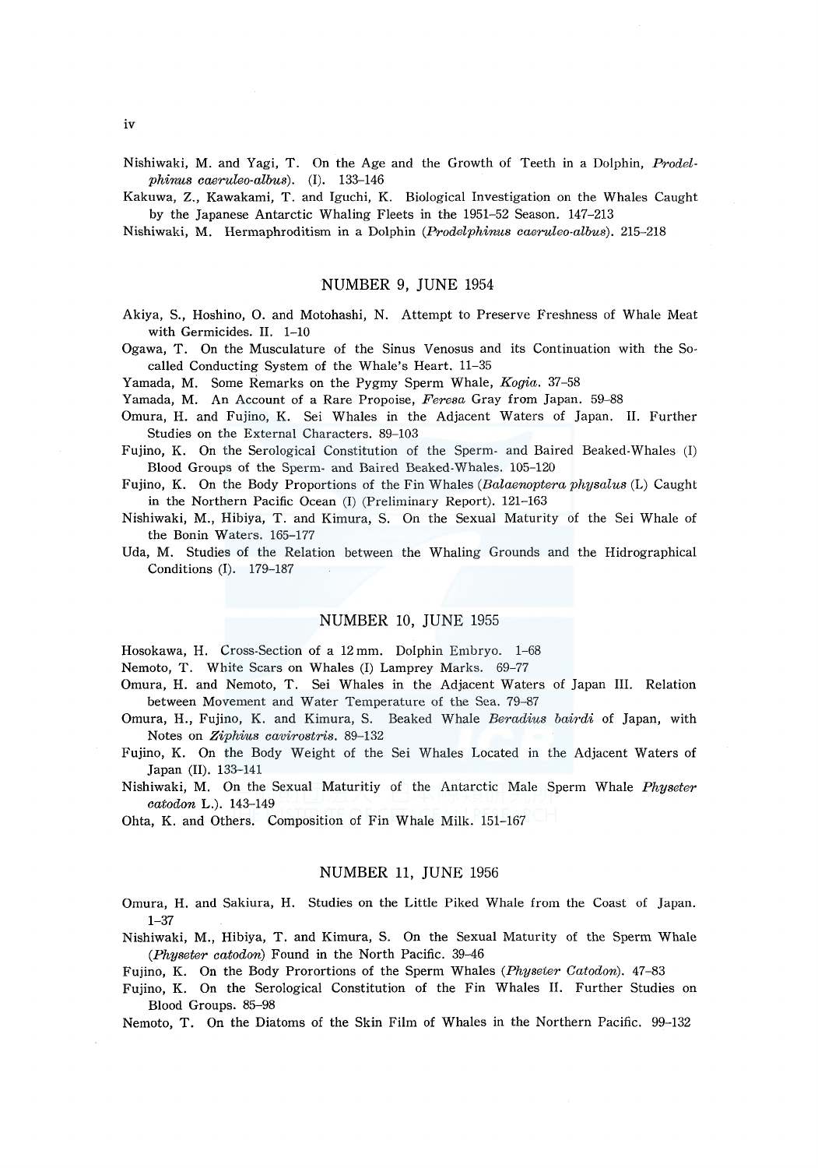Nishiwaki, M. and Yagi, T. On the Age and the Growth of Teeth in a Dolphin, *Prodelphinus caeruleo-albus).* (I). 133-146

Kakuwa, Z., Kawakami, T. and Iguchi, K. Biological Investigation on the Whales Caught by the Japanese Antarctic Whaling Fleets in the 1951-52 Season. 147-213

Nishiwaki, M. Hermaphroditism in a Dolphin *(Prodelphinus caeruleo-albus).* 215-218

### NUMBER 9, JUNE 1954

Akiya, S., Hoshino, 0. and Motohashi, N. Attempt to Preserve Freshness of Whale Meat with Germicides. II. 1-10

Ogawa, T. On the Musculature of the Sinus Venosus and its Continuation with the Socalled Conducting System of the Whale's Heart. 11-35

Yamada, M. Some Remarks on the Pygmy Sperm Whale, *Kogia.* 37-58

Yamada, M. An Account of a Rare Propoise, *Feresa* Gray from Japan. 59-88

Omura, H. and Fujino, K. Sei Whales in the Adjacent Waters of Japan. II. Further Studies on the External Characters. 89-103

Fujino, K. On the Serological Constitution of the Sperm- and Baired Beaked-Whales (I) Blood Groups of the Sperm- and Baired Beaked-Whales. 105-120

Fujino, K. On the Body Proportions of the Fin Whales *(Balaenoptera physalus* (L) Caught in the Northern Pacific Ocean (I) (Preliminary Report). 121-163

Nishiwaki, M., Hibiya, T. and Kimura, S. On the Sexual Maturity of the Sei Whale of the Bonin Waters. 165-177

Uda, M. Studies of the Relation between the Whaling Grounds and the Hidrographical Conditions (I). 179-187

#### NUMBER 10, JUNE 1955

Hosokawa, H. Cross-Section of a 12 mm. Dolphin Embryo. 1-68

Nemoto, T. White Scars on Whales (I) Lamprey Marks. 69-77

Omura, H. and Nemoto, T. Sei Whales in the Adjacent Waters of Japan III. Relation between Movement and Water Temperature of the Sea. 79-87

Omura, H., Fujino, K. and Kimura, S. Beaked Whale *Beradius bairdi* of Japan, with Notes on *Ziphius cavirostris.* 89-132

Fujino, K. On the Body Weight of the Sei Whales Located in the Adjacent Waters of Japan (II). 133-141

Nishiwaki, M. On the Sexual Maturitiy of the Antarctic Male Sperm Whale *Physeter catodon* L.). 143-149

Ohta, K. and Others. Composition of Fin Whale Milk. 151-167

### NUMBER 11, JUNE 1956

Omura, H. and Sakiura, H. Studies on the Little Piked Whale from the Coast of Japan. 1-37

Nishiwaki, M., Hibiya, T. and Kimura, S. On the Sexual Maturity of the Sperm Whale *(Physeter catodon)* Found in the North Pacific. 39-46

Fujino, K. On the Body Prorortions of the Sperm Whales *(Physeler Catodon).* 47-83

Fujino, K. On the Serological Constitution of the Fin Whales II. Further Studies on Blood Groups. 85-98

Nemoto, T. On the Diatoms of the Skin Film of Whales in the Northern Pacific. 99-132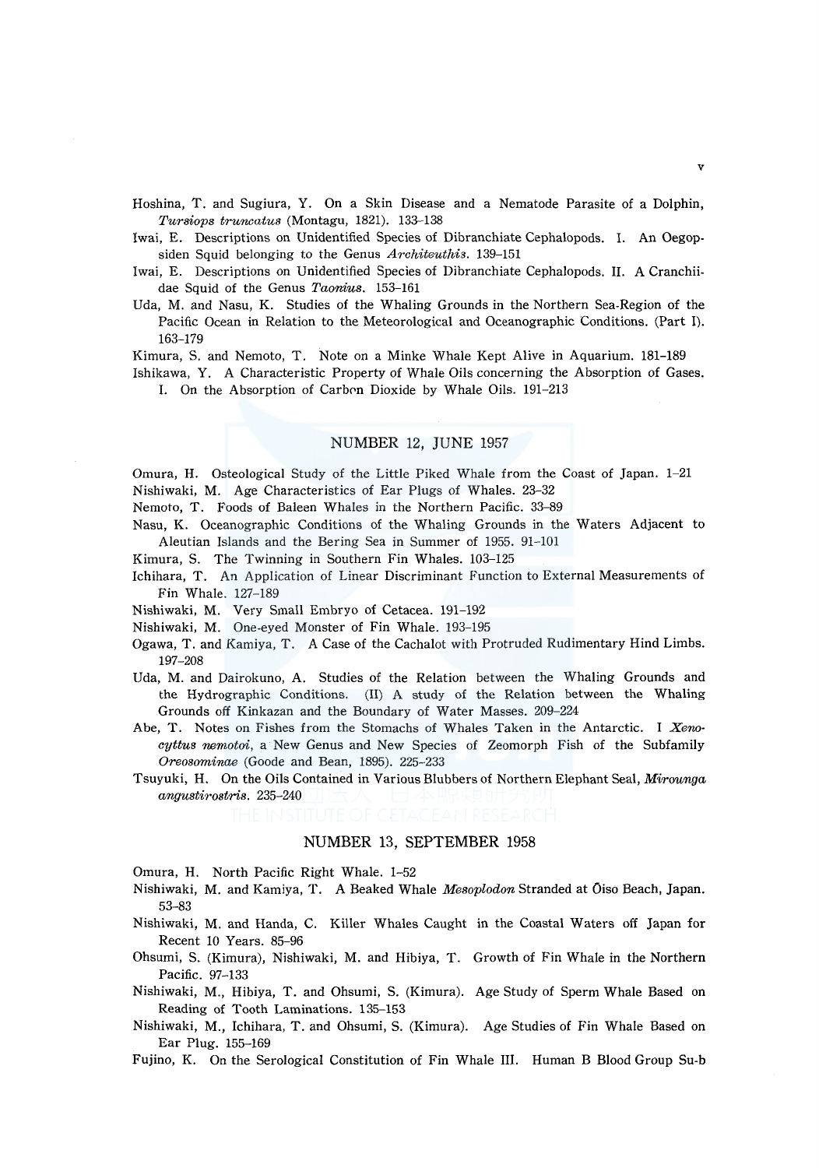Hoshina, T. and Sugiura, Y. On a Skin Disease and a Nematode Parasite of a Dolphin, *Tursiops truncatus* (Montagu, 1821). 133-138

lwai, E. Descriptions on Unidentified Species of Dibranchiate Cephalopods. I. An Oegopsiden Squid belonging to the Genus *Architeuthis.* 139-151

- lwai, E. Descriptions on Unidentified Species of Dibranchiate Cephalopods. II. A Cranchiidae Squid of the Genus *Taonius.* 153-161
- Uda, M. and Nasu, K. Studies of the Whaling Grounds in the Northern Sea-Region of the Pacific Ocean in Relation to the Meteorological and Oceanographic Conditions. (Part l). 163-179

Kimura, S. and Nemoto, T. Note on a Minke Whale Kept Alive in Aquarium. 181-189

Ishikawa, Y. A Characteristic Property of Whale Oils concerning the Absorption of Gases. I. On the Absorption of Carbon Dioxide by Whale Oils. 191-213

### NUMBER 12, JUNE 1957

Omura, H. Osteological Study of the Little Piked Whale from the Coast of Japan. 1-21 Nishiwaki, M. Age Characteristics of Ear Plugs of Whales. 23-32

Nemoto, T. Foods of Baleen Whales in the Northern Pacific. 33-89

Nasu, K. Oceanographic Conditions of the Whaling Grounds in the Waters Adjacent to Aleutian Islands and the Bering Sea in Summer of 1955. 91-101

Kimura, S. The Twinning in Southern Fin Whales. 103-125

Ichihara, T. An Application of Linear Discriminant Function to External Measurements of Fin Whale. 127-189

Nishiwaki, M. Very Small Embryo of Cetacea. 191-192

Nishiwaki, M. One-eyed Monster of Fin Whale. 193-195

- Ogawa, T. and Kamiya, T. A Case of the Cachalot with Protruded Rudimentary Hind Limbs. 197-208
- Uda, M. and Dairokuno, A. Studies of the Relation between the Whaling Grounds and the Hydrographic Conditions. (II) A study of the Relation between the Whaling Grounds off Kinkazan and the Boundary of Water Masses. 209-224

Abe, T. Notes on Fishes from the Stomachs of Whales Taken in the Antarctic. I *Xenocyttus nemotoi,* a New Genus and New Species of Zeomorph Fish of the Subfamily *Oreosominae* (Goode and Bean, 1895). 225-233

Tsuyuki, H. On the Oils Contained in Various Blubbers of Northern Elephant Seal, *Mirounga angustirostris.* 235-240

# NUMBER 13, SEPTEMBER 1958

Omura, H. North Pacific Right Whale. 1-52

- Nishiwaki, M. and Kamiya, T. A Beaked Whale *Mesoplodon* Stranded at Oiso Beach, Japan. 53-83
- Nishiwaki, M. and Handa, C. Killer Whales Caught in the Coastal Waters off Japan for Recent 10 Years. 85-96
- Ohsumi, S. (Kimura), Nishiwaki, M. and Hibiya, T. Growth of Fin Whale in the Northern Pacific. 97-133
- Nishiwaki, M., Hibiya, T. and Ohsumi, S. (Kimura). Age Study of Sperm Whale Based on Reading of Tooth Laminations. 135-153
- Nishiwaki, M., Ichihara, T. and Ohsumi, S. (Kimura). Age Studies of Fin Whale Based on Ear Plug. 155-169
- Fujino, K. On the Serological Constitution of Fin Whale III. Human B Blood Group Su-b